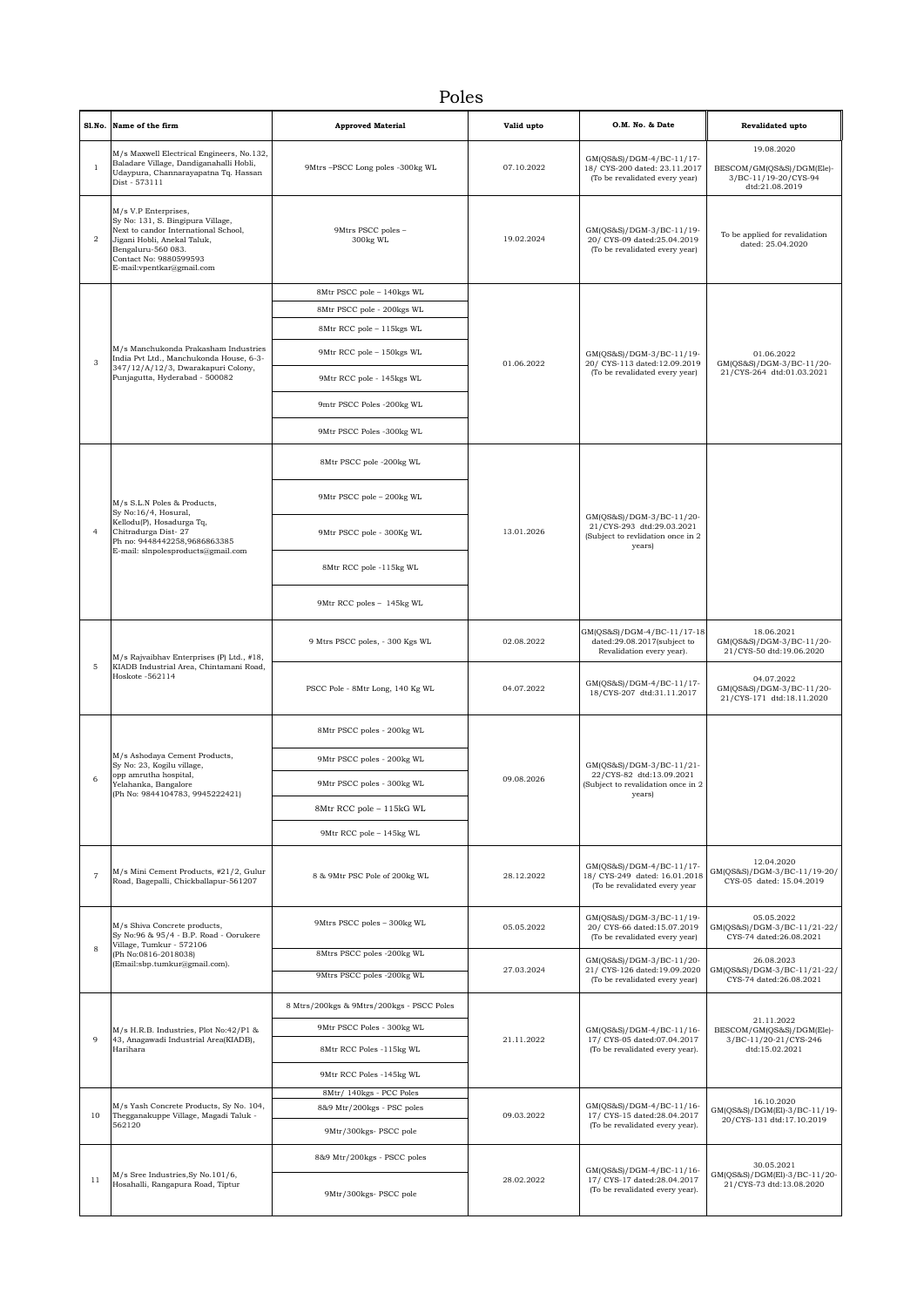## Poles

|                | Sl.No. Name of the firm                                                                                                                                                                                       | <b>Approved Material</b>                  | Valid upto | O.M. No. & Date                                                                                      | Revalidated upto                                                                  |
|----------------|---------------------------------------------------------------------------------------------------------------------------------------------------------------------------------------------------------------|-------------------------------------------|------------|------------------------------------------------------------------------------------------------------|-----------------------------------------------------------------------------------|
| $\overline{1}$ | M/s Maxwell Electrical Engineers, No.132,<br>Baladare Village, Dandiganahalli Hobli,<br>Udaypura, Channarayapatna Tq. Hassan<br>Dist - 573111                                                                 | 9Mtrs -PSCC Long poles -300kg WL          | 07.10.2022 | GM(QS&S)/DGM-4/BC-11/17-<br>18/ CYS-200 dated: 23.11.2017<br>(To be revalidated every year)          | 19.08.2020<br>BESCOM/GM(QS&S)/DGM(Ele)-<br>3/BC-11/19-20/CYS-94<br>dtd:21.08.2019 |
| $\overline{2}$ | M/s V.P Enterprises,<br>Sy No: 131, S. Bingipura Village,<br>Next to candor International School,<br>Jigani Hobli, Anekal Taluk,<br>Bengaluru-560 083.<br>Contact No: 9880599593<br>E-mail:vpentkar@gmail.com | 9Mtrs PSCC poles -<br>300kg WL            | 19.02.2024 | GM(QS&S)/DGM-3/BC-11/19-<br>20/ CYS-09 dated:25.04.2019<br>(To be revalidated every year)            | To be applied for revalidation<br>dated: 25.04.2020                               |
|                | M/s Manchukonda Prakasham Industries<br>India Pvt Ltd., Manchukonda House, 6-3-                                                                                                                               | 8Mtr PSCC pole - 140kgs WL                | 01.06.2022 | GM(QS&S)/DGM-3/BC-11/19-<br>20/ CYS-113 dated:12.09.2019                                             |                                                                                   |
|                |                                                                                                                                                                                                               | 8Mtr PSCC pole - 200kgs WL                |            |                                                                                                      |                                                                                   |
|                |                                                                                                                                                                                                               | 8Mtr RCC pole - 115kgs WL                 |            |                                                                                                      |                                                                                   |
| 3              |                                                                                                                                                                                                               | 9Mtr RCC pole - 150kgs WL                 |            |                                                                                                      | 01.06.2022<br>GM(QS&S)/DGM-3/BC-11/20-<br>21/CYS-264 dtd:01.03.2021               |
|                | 347/12/A/12/3, Dwarakapuri Colony,<br>Punjagutta, Hyderabad - 500082                                                                                                                                          | 9Mtr RCC pole - 145kgs WL                 |            | (To be revalidated every year)                                                                       |                                                                                   |
|                |                                                                                                                                                                                                               | 9mtr PSCC Poles -200kg WL                 |            |                                                                                                      |                                                                                   |
|                |                                                                                                                                                                                                               | 9Mtr PSCC Poles -300kg WL                 |            |                                                                                                      |                                                                                   |
|                |                                                                                                                                                                                                               | 8Mtr PSCC pole -200kg WL                  |            | GM(QS&S)/DGM-3/BC-11/20-<br>21/CYS-293 dtd:29.03.2021<br>(Subject to revlidation once in 2<br>years) |                                                                                   |
|                | M/s S.L.N Poles & Products,                                                                                                                                                                                   | 9Mtr PSCC pole - 200kg WL                 |            |                                                                                                      |                                                                                   |
| $\overline{4}$ | Sy No:16/4, Hosural,<br>Kellodu(P), Hosadurga Tq,<br>Chitradurga Dist-27<br>Ph no: 9448442258,9686863385<br>E-mail: slnpolesproducts@gmail.com                                                                | 9Mtr PSCC pole - 300Kg WL                 | 13.01.2026 |                                                                                                      |                                                                                   |
|                |                                                                                                                                                                                                               | 8Mtr RCC pole -115kg WL                   |            |                                                                                                      |                                                                                   |
|                |                                                                                                                                                                                                               | 9Mtr RCC poles - 145kg WL                 |            |                                                                                                      |                                                                                   |
|                | M/s Rajvaibhav Enterprises (P) Ltd., #18,<br>KIADB Industrial Area, Chintamani Road,<br>Hoskote -562114                                                                                                       | 9 Mtrs PSCC poles, - 300 Kgs WL           | 02.08.2022 | GM(QS&S)/DGM-4/BC-11/17-18<br>dated:29.08.2017(subject to<br>Revalidation every year).               | 18.06.2021<br>GM(QS&S)/DGM-3/BC-11/20-<br>21/CYS-50 dtd:19.06.2020                |
| 5              |                                                                                                                                                                                                               | PSCC Pole - 8Mtr Long, 140 Kg WL          | 04.07.2022 | GM(QS&S)/DGM-4/BC-11/17-<br>18/CYS-207 dtd:31.11.2017                                                | 04.07.2022<br>GM(QS&S)/DGM-3/BC-11/20-<br>21/CYS-171 dtd:18.11.2020               |
|                |                                                                                                                                                                                                               | 8Mtr PSCC poles - 200kg WL                | 09.08.2026 | GM(QS&S)/DGM-3/BC-11/21-<br>22/CYS-82 dtd:13.09.2021<br>(Subject to revalidation once in 2<br>years) |                                                                                   |
|                | M/s Ashodaya Cement Products,<br>Sy No: 23, Kogilu village,                                                                                                                                                   | 9Mtr PSCC poles - 200kg WL                |            |                                                                                                      |                                                                                   |
| 6              | opp amrutha hospital,<br>Yelahanka, Bangalore<br>(Ph No: 9844104783, 9945222421)                                                                                                                              | 9Mtr PSCC poles - 300kg WL                |            |                                                                                                      |                                                                                   |
|                |                                                                                                                                                                                                               | 8Mtr RCC pole - 115kG WL                  |            |                                                                                                      |                                                                                   |
|                |                                                                                                                                                                                                               | 9Mtr RCC pole - 145kg WL                  |            |                                                                                                      |                                                                                   |
| $\overline{7}$ | M/s Mini Cement Products, #21/2, Gulur<br>Road, Bagepalli, Chickballapur-561207                                                                                                                               | 8 & 9Mtr PSC Pole of 200kg WL             | 28.12.2022 | GM(QS&S)/DGM-4/BC-11/17-<br>18/ CYS-249 dated: 16.01.2018<br>(To be revalidated every year           | 12.04.2020<br>GM(QS&S)/DGM-3/BC-11/19-20/<br>CYS-05 dated: 15.04.2019             |
|                | M/s Shiva Concrete products,<br>Sy No:96 & 95/4 - B.P. Road - Oorukere                                                                                                                                        | 9Mtrs PSCC poles - 300kg WL               | 05.05.2022 | GM(QS&S)/DGM-3/BC-11/19-<br>20/ CYS-66 dated:15.07.2019<br>(To be revalidated every year)            | 05.05.2022<br>GM(QS&S)/DGM-3/BC-11/21-22/<br>CYS-74 dated:26.08.2021              |
| 8              | Village, Tumkur - 572106<br>(Ph No:0816-2018038)                                                                                                                                                              | 8Mtrs PSCC poles -200kg WL                |            | GM(QS&S)/DGM-3/BC-11/20-<br>21/ CYS-126 dated:19.09.2020<br>(To be revalidated every year)           |                                                                                   |
|                | (Email:sbp.tumkur@gmail.com).                                                                                                                                                                                 | 9Mtrs PSCC poles -200kg WL                | 27.03.2024 |                                                                                                      | 26.08.2023<br>GM(QS&S)/DGM-3/BC-11/21-22/<br>CYS-74 dated:26.08.2021              |
|                | $\rm M/s$ H.R.B. Industries, Plot No:42/P1 &<br>43, Anagawadi Industrial Area(KIADB),<br>Harihara                                                                                                             | 8 Mtrs/200kgs & 9Mtrs/200kgs - PSCC Poles | 21.11.2022 | GM(QS&S)/DGM-4/BC-11/16-<br>17/ CYS-05 dated:07.04.2017<br>(To be revalidated every year).           |                                                                                   |
|                |                                                                                                                                                                                                               | 9Mtr PSCC Poles - 300kg WL                |            |                                                                                                      | 21.11.2022<br>BESCOM/GM(QS&S)/DGM(Ele)-                                           |
| 9              |                                                                                                                                                                                                               | 8Mtr RCC Poles -115kg WL                  |            |                                                                                                      | 3/BC-11/20-21/CYS-246<br>dtd:15.02.2021                                           |
|                |                                                                                                                                                                                                               | 9Mtr RCC Poles -145kg WL                  |            |                                                                                                      |                                                                                   |
| 10             | M/s Yash Concrete Products, Sy No. 104,<br>Thegganakuppe Village, Magadi Taluk -<br>562120                                                                                                                    | 8Mtr/ 140kgs - PCC Poles                  |            | GM(QS&S)/DGM-4/BC-11/16-<br>17/ CYS-15 dated:28.04.2017<br>(To be revalidated every year).           | 16.10.2020                                                                        |
|                |                                                                                                                                                                                                               | 8&9 Mtr/200kgs - PSC poles                | 09.03.2022 |                                                                                                      | GM(QS&S)/DGM(El)-3/BC-11/19-<br>20/CYS-131 dtd:17.10.2019                         |
|                |                                                                                                                                                                                                               | 9Mtr/300kgs- PSCC pole                    |            |                                                                                                      |                                                                                   |
|                |                                                                                                                                                                                                               | 8&9 Mtr/200kgs - PSCC poles               |            | GM(QS&S)/DGM-4/BC-11/16-                                                                             | 30.05.2021<br>GM(QS&S)/DGM(El)-3/BC-11/20-                                        |
| 11             | M/s Sree Industries, Sy No. 101/6,<br>Hosahalli, Rangapura Road, Tiptur                                                                                                                                       | 9Mtr/300kgs- PSCC pole                    | 28.02.2022 | 17/ CYS-17 dated:28.04.2017<br>(To be revalidated every year).                                       | 21/CYS-73 dtd:13.08.2020                                                          |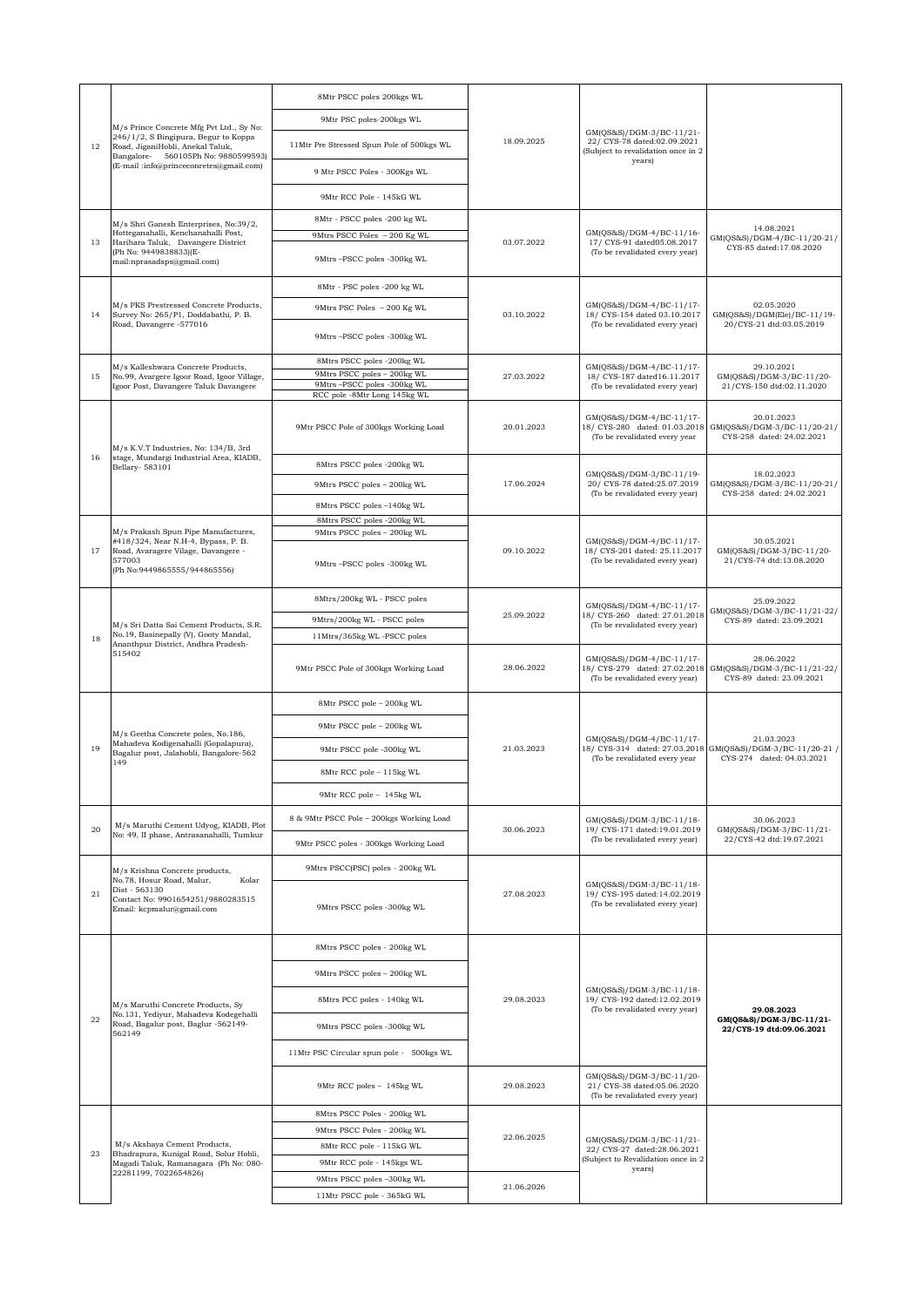|    | M/s Prince Concrete Mfg Pvt Ltd., Sy No:<br>246/1/2, S Bingipura, Begur to Koppa<br>Road, JiganiHobli, Anekal Taluk,<br>Bangalore- 560105Ph No: 9880599593)                                           | 8Mtr PSCC poles 200kgs WL                                  | 18.09.2025                                                                                                                          | GM(QS&S)/DGM-3/BC-11/21-<br>22/ CYS-78 dated:02.09.2021<br>(Subject to revalidation once in 2 |                                                                        |
|----|-------------------------------------------------------------------------------------------------------------------------------------------------------------------------------------------------------|------------------------------------------------------------|-------------------------------------------------------------------------------------------------------------------------------------|-----------------------------------------------------------------------------------------------|------------------------------------------------------------------------|
| 12 |                                                                                                                                                                                                       | 9Mtr PSC poles-200kgs WL                                   |                                                                                                                                     |                                                                                               |                                                                        |
|    |                                                                                                                                                                                                       | 11Mtr Pre Stressed Spun Pole of 500kgs WL                  |                                                                                                                                     |                                                                                               |                                                                        |
|    | (E-mail:info@princeconretes@gmail.com)                                                                                                                                                                | 9 Mtr PSCC Poles - 300Kgs WL                               |                                                                                                                                     | years)                                                                                        |                                                                        |
|    |                                                                                                                                                                                                       | 9Mtr RCC Pole - 145kG WL                                   |                                                                                                                                     |                                                                                               |                                                                        |
|    | M/s Shri Ganesh Enterprises, No:39/2,                                                                                                                                                                 | 8Mtr - PSCC poles -200 kg WL                               |                                                                                                                                     |                                                                                               |                                                                        |
| 13 | Hotteganahalli, Kenchanahalli Post,<br>Harihara Taluk, Davangere District<br>(Ph No: 9449838833)(E-<br>mail:nprasadsps@gmail.com)                                                                     | 9Mtrs PSCC Poles - 200 Kg WL                               | 03.07.2022                                                                                                                          | GM(QS&S)/DGM-4/BC-11/16-<br>17/ CYS-91 dated05.08.2017<br>(To be revalidated every year)      | 14.08.2021<br>GM(QS&S)/DGM-4/BC-11/20-21/                              |
|    |                                                                                                                                                                                                       | 9Mtrs -PSCC poles -300kg WL                                |                                                                                                                                     |                                                                                               | CYS-85 dated:17.08.2020                                                |
|    | M/s PKS Prestressed Concrete Products,<br>Survey No: 265/P1, Doddabathi, P. B.<br>Road, Davangere -577016                                                                                             | 8Mtr - PSC poles -200 kg WL                                | 03.10.2022                                                                                                                          | GM(QS&S)/DGM-4/BC-11/17-<br>18/ CYS-154 dated 03.10.2017<br>(To be revalidated every year)    |                                                                        |
| 14 |                                                                                                                                                                                                       | 9Mtrs PSC Poles - 200 Kg WL                                |                                                                                                                                     |                                                                                               | 02.05.2020<br>GM(QS&S)/DGM(Ele)/BC-11/19-                              |
|    |                                                                                                                                                                                                       | 9Mtrs-PSCC poles -300kg WL                                 |                                                                                                                                     |                                                                                               | 20/CYS-21 dtd:03.05.2019                                               |
|    | M/s Kalleshwara Concrete Products,                                                                                                                                                                    | 8Mtrs PSCC poles -200kg WL                                 |                                                                                                                                     | GM(QS&S)/DGM-4/BC-11/17-<br>18/ CYS-187 dated16.11.2017<br>(To be revalidated every year)     | 29.10.2021                                                             |
| 15 | No.99, Avargere Igoor Road, Igoor Village,<br>Igoor Post, Davangere Taluk Davangere                                                                                                                   | 9Mtrs PSCC poles - 200kg WL<br>9Mtrs -PSCC poles -300kg WL | 27.03.2022                                                                                                                          |                                                                                               | GM(QS&S)/DGM-3/BC-11/20-<br>21/CYS-150 dtd:02.11.2020                  |
|    |                                                                                                                                                                                                       | RCC pole -8Mtr Long 145kg WL                               |                                                                                                                                     |                                                                                               |                                                                        |
|    | M/s K.V.T Industries, No: 134/B, 3rd                                                                                                                                                                  | 9Mtr PSCC Pole of 300kgs Working Load                      | 20.01.2023                                                                                                                          | GM(QS&S)/DGM-4/BC-11/17-<br>18/ CYS-280 dated: 01.03.2018<br>(To be revalidated every year    | 20.01.2023<br>GM(QS&S)/DGM-3/BC-11/20-21/<br>CYS-258 dated: 24.02.2021 |
| 16 | stage, Mundargi Industrial Area, KIADB,<br>Bellary- 583101                                                                                                                                            | 8Mtrs PSCC poles -200kg WL                                 |                                                                                                                                     | GM(QS&S)/DGM-3/BC-11/19-                                                                      |                                                                        |
|    |                                                                                                                                                                                                       | 9Mtrs PSCC poles - 200kg WL                                | 17.06.2024                                                                                                                          | 20/ CYS-78 dated:25.07.2019                                                                   | 18.02.2023<br>GM(QS&S)/DGM-3/BC-11/20-21/<br>CYS-258 dated: 24.02.2021 |
|    |                                                                                                                                                                                                       | 8Mtrs PSCC poles -140kg WL                                 |                                                                                                                                     | (To be revalidated every year)                                                                |                                                                        |
|    | M/s Prakash Spun Pipe Manufactures,                                                                                                                                                                   | 8Mtrs PSCC poles -200kg WL<br>9Mtrs PSCC poles - 200kg WL  |                                                                                                                                     |                                                                                               |                                                                        |
| 17 | #418/324, Near N.H-4, Bypass, P. B.<br>Road, Avaragere Vilage, Davangere -                                                                                                                            |                                                            | 09.10.2022                                                                                                                          | GM(QS&S)/DGM-4/BC-11/17-<br>18/ CYS-201 dated: 25.11.2017<br>(To be revalidated every year)   | 30.05.2021<br>GM(QS&S)/DGM-3/BC-11/20-<br>21/CYS-74 dtd:13.08.2020     |
|    | 577003<br>(Ph No:9449865555/944865556)                                                                                                                                                                | 9Mtrs -PSCC poles -300kg WL                                |                                                                                                                                     |                                                                                               |                                                                        |
|    | M/s Sri Datta Sai Cement Products, S.R.<br>No.19, Basinepally (V), Gooty Mandal,<br>Ananthpur District, Andhra Pradesh-<br>515402                                                                     | 8Mtrs/200kg WL - PSCC poles                                | 25.09.2022                                                                                                                          | GM(QS&S)/DGM-4/BC-11/17-<br>18/ CYS-260 dated: 27.01.2018<br>(To be revalidated every year)   | 25.09.2022                                                             |
|    |                                                                                                                                                                                                       | 9Mtrs/200kg WL - PSCC poles                                |                                                                                                                                     |                                                                                               | GM(QS&S)/DGM-3/BC-11/21-22/<br>CYS-89 dated: 23.09.2021                |
| 18 |                                                                                                                                                                                                       | 11Mtrs/365kg WL-PSCC poles                                 |                                                                                                                                     |                                                                                               |                                                                        |
|    |                                                                                                                                                                                                       | 9Mtr PSCC Pole of 300kgs Working Load                      | 28.06.2022                                                                                                                          | GM(QS&S)/DGM-4/BC-11/17-<br>18/ CYS-279 dated: 27.02.2018<br>(To be revalidated every year)   | 28.06.2022<br>GM(QS&S)/DGM-3/BC-11/21-22/<br>CYS-89 dated: 23.09.2021  |
|    | M/s Geetha Concrete poles, No.186,<br>Mahadeva Kodigenahalli (Gopalapura),<br>Bagalur post, Jalahobli, Bangalore-562<br>149                                                                           | 8Mtr PSCC pole - 200kg WL                                  | 21.03.2023                                                                                                                          | GM(QS&S)/DGM-4/BC-11/17-<br>18/ CYS-314 dated: 27.03.2018<br>(To be revalidated every year    |                                                                        |
|    |                                                                                                                                                                                                       | 9Mtr PSCC pole - 200kg WL                                  |                                                                                                                                     |                                                                                               |                                                                        |
| 19 |                                                                                                                                                                                                       | 9Mtr PSCC pole -300kg WL                                   |                                                                                                                                     |                                                                                               | 21.03.2023<br>GM(QS&S)/DGM-3/BC-11/20-21 /                             |
|    |                                                                                                                                                                                                       | 8Mtr RCC pole - 115kg WL                                   |                                                                                                                                     |                                                                                               | CYS-274 dated: 04.03.2021                                              |
|    |                                                                                                                                                                                                       | 9Mtr RCC pole - 145kg WL                                   |                                                                                                                                     |                                                                                               |                                                                        |
|    |                                                                                                                                                                                                       | 8 & 9Mtr PSCC Pole - 200kgs Working Load                   |                                                                                                                                     |                                                                                               |                                                                        |
| 20 | M/s Maruthi Cement Udyog, KIADB, Plot<br>No: 49, II phase, Antrasanahalli, Tumkur                                                                                                                     |                                                            | 30.06.2023                                                                                                                          | GM(QS&S)/DGM-3/BC-11/18-<br>19/ CYS-171 dated:19.01.2019<br>(To be revalidated every year)    | 30.06.2023<br>GM(QS&S)/DGM-3/BC-11/21-<br>22/CYS-42 dtd:19.07.2021     |
|    |                                                                                                                                                                                                       | 9Mtr PSCC poles - 300kgs Working Load                      |                                                                                                                                     |                                                                                               |                                                                        |
|    | M/s Krishna Concrete products,<br>No.78, Hosur Road, Malur,<br>Kolar<br>Dist - 563130<br>Contact No: 9901654251/9880283515<br>Email: kcpmalur@gmail.com                                               | 9Mtrs PSCC(PSC) poles - 200kg WL                           | 27.08.2023                                                                                                                          | GM(QS&S)/DGM-3/BC-11/18-<br>19/ CYS-195 dated:14.02.2019<br>(To be revalidated every year)    |                                                                        |
| 21 |                                                                                                                                                                                                       | 9Mtrs PSCC poles -300kg WL                                 |                                                                                                                                     |                                                                                               |                                                                        |
|    | M/s Maruthi Concrete Products, Sy<br>No.131, Yediyur, Mahadeva Kodegehalli<br>Road, Bagalur post, Baglur -562149-<br>562149<br>M/s Akshaya Cement Products,<br>Bhadrapura, Kunigal Road, Solur Hobli, | 8Mtrs PSCC poles - 200kg WL                                |                                                                                                                                     | GM(QS&S)/DGM-3/BC-11/18-<br>19/ CYS-192 dated:12.02.2019<br>(To be revalidated every year)    |                                                                        |
| 22 |                                                                                                                                                                                                       | 9Mtrs PSCC poles - 200kg WL                                | 29.08.2023                                                                                                                          |                                                                                               |                                                                        |
|    |                                                                                                                                                                                                       | 8Mtrs PCC poles - 140kg WL                                 |                                                                                                                                     |                                                                                               | 29.08.2023                                                             |
|    |                                                                                                                                                                                                       | 9Mtrs PSCC poles -300kg WL                                 |                                                                                                                                     |                                                                                               | GM(QS&S)/DGM-3/BC-11/21-<br>22/CYS-19 dtd:09.06.2021                   |
|    |                                                                                                                                                                                                       | 11Mtr PSC Circular spun pole - 500kgs WL                   |                                                                                                                                     |                                                                                               |                                                                        |
|    |                                                                                                                                                                                                       | 9Mtr RCC poles - 145kg WL                                  | 29.08.2023                                                                                                                          | GM(QS&S)/DGM-3/BC-11/20-<br>21/ CYS-38 dated:05.06.2020<br>(To be revalidated every year)     |                                                                        |
|    |                                                                                                                                                                                                       | 8Mtrs PSCC Poles - 200kg WL                                |                                                                                                                                     |                                                                                               |                                                                        |
|    |                                                                                                                                                                                                       | 9Mtrs PSCC Poles - 200kg WL                                | 22.06.2025<br>GM(QS&S)/DGM-3/BC-11/21-<br>22/ CYS-27 dated:28.06.2021<br>(Subject to Revalidation once in 2<br>years)<br>21.06.2026 |                                                                                               |                                                                        |
| 23 |                                                                                                                                                                                                       | 8Mtr RCC pole - 115kG WL                                   |                                                                                                                                     |                                                                                               |                                                                        |
|    | Magadi Taluk, Ramanagara (Ph No: 080-<br>22281199, 7022654826)                                                                                                                                        | 9Mtr RCC pole - 145kgs WL<br>9Mtrs PSCC poles -300kg WL    |                                                                                                                                     |                                                                                               |                                                                        |
|    |                                                                                                                                                                                                       | 11Mtr PSCC pole - 365kG WL                                 |                                                                                                                                     |                                                                                               |                                                                        |
|    |                                                                                                                                                                                                       |                                                            |                                                                                                                                     |                                                                                               |                                                                        |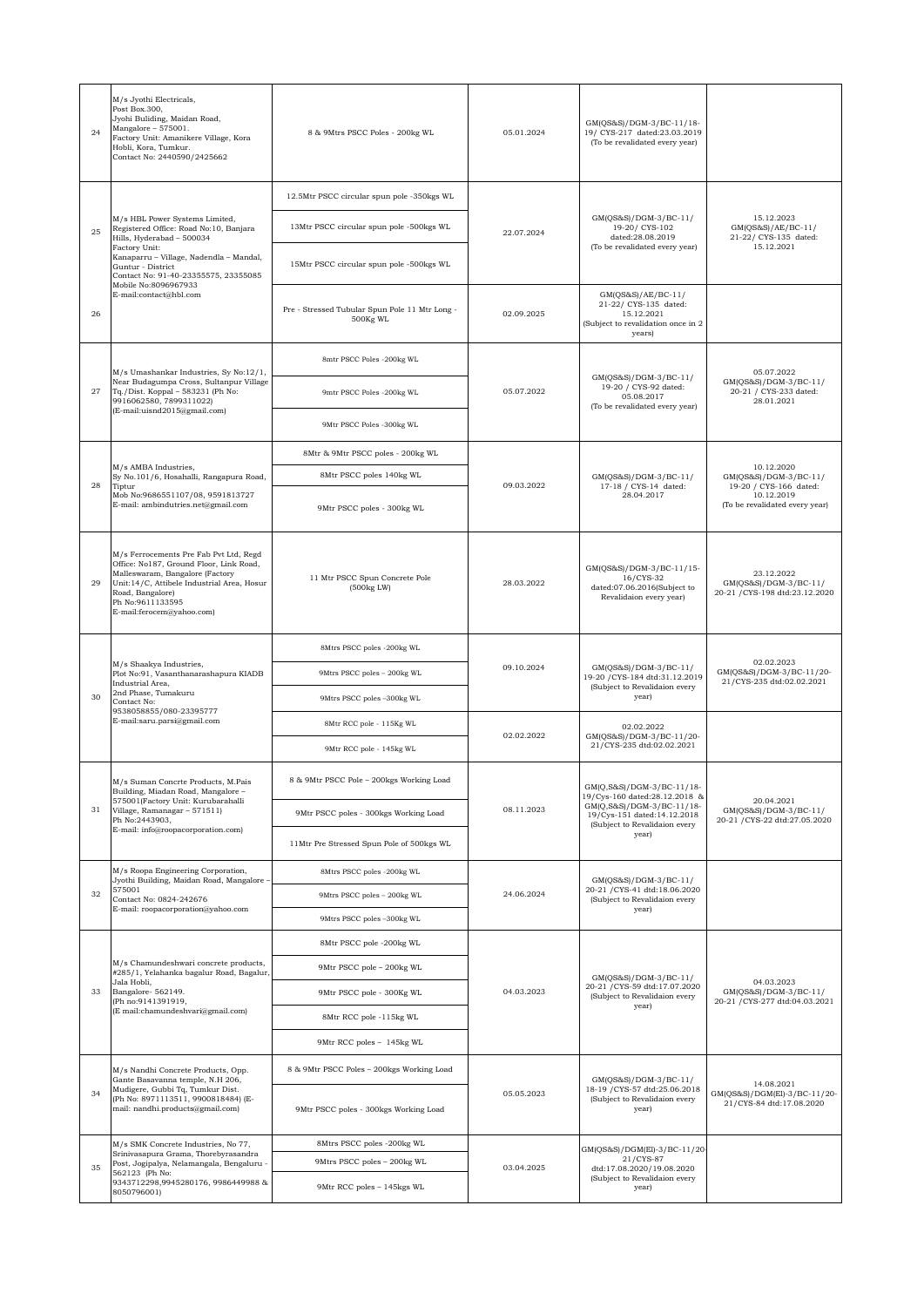| 24 | M/s Jyothi Electricals,<br>Post Box.300,<br>Jyohi Buliding, Maidan Road,<br>Mangalore - 575001.<br>Factory Unit: Amanikere Village, Kora<br>Hobli, Kora, Tumkur.<br>Contact No: 2440590/2425662                                                                                  | 8 & 9Mtrs PSCC Poles - 200kg WL                                                    | 05.01.2024 | GM(QS&S)/DGM-3/BC-11/18-<br>19/ CYS-217 dated:23.03.2019<br>(To be revalidated every year)                                                                       |                                                                                                               |
|----|----------------------------------------------------------------------------------------------------------------------------------------------------------------------------------------------------------------------------------------------------------------------------------|------------------------------------------------------------------------------------|------------|------------------------------------------------------------------------------------------------------------------------------------------------------------------|---------------------------------------------------------------------------------------------------------------|
|    | M/s HBL Power Systems Limited,<br>Registered Office: Road No:10, Banjara<br>Hills, Hyderabad - 500034<br>Factory Unit:<br>Kanaparru - Village, Nadendla - Mandal,<br>Guntur - District<br>Contact No: 91-40-23355575, 23355085<br>Mobile No:8096967933<br>E-mail:contact@hbl.com | 12.5Mtr PSCC circular spun pole -350kgs WL                                         |            |                                                                                                                                                                  |                                                                                                               |
| 25 |                                                                                                                                                                                                                                                                                  | 13Mtr PSCC circular spun pole -500kgs WL                                           | 22.07.2024 | GM(QS&S)/DGM-3/BC-11/<br>19-20/ CYS-102<br>dated:28.08.2019<br>(To be revalidated every year)                                                                    | 15.12.2023<br>GM(QS&S)/AE/BC-11/<br>21-22/ CYS-135 dated:                                                     |
|    |                                                                                                                                                                                                                                                                                  | 15Mtr PSCC circular spun pole -500kgs WL                                           |            |                                                                                                                                                                  | 15.12.2021                                                                                                    |
| 26 |                                                                                                                                                                                                                                                                                  | Pre - Stressed Tubular Spun Pole 11 Mtr Long -<br>500Kg WL                         | 02.09.2025 | GM(QS&S)/AE/BC-11/<br>21-22/ CYS-135 dated:<br>15.12.2021<br>(Subject to revalidation once in 2<br>years)                                                        |                                                                                                               |
|    | M/s Umashankar Industries, Sy No:12/1,<br>Near Budagumpa Cross, Sultanpur Village<br>Tq./Dist. Koppal - 583231 (Ph No:<br>9916062580, 7899311022)                                                                                                                                | 8mtr PSCC Poles -200kg WL                                                          | 05.07.2022 | GM(QS&S)/DGM-3/BC-11/<br>19-20 / CYS-92 dated:<br>05.08.2017<br>(To be revalidated every year)                                                                   |                                                                                                               |
| 27 |                                                                                                                                                                                                                                                                                  | 9mtr PSCC Poles -200kg WL                                                          |            |                                                                                                                                                                  | 05.07.2022<br>GM(QS&S)/DGM-3/BC-11/<br>20-21 / CYS-233 dated:<br>28.01.2021                                   |
|    | (E-mail:uisnd2015@gmail.com)                                                                                                                                                                                                                                                     | 9Mtr PSCC Poles -300kg WL                                                          |            |                                                                                                                                                                  |                                                                                                               |
|    |                                                                                                                                                                                                                                                                                  | 8Mtr & 9Mtr PSCC poles - 200kg WL                                                  |            |                                                                                                                                                                  |                                                                                                               |
| 28 | M/s AMBA Industries,<br>Sy No.101/6, Hosahalli, Rangapura Road,<br>Tiptur                                                                                                                                                                                                        | 8Mtr PSCC poles 140kg WL                                                           | 09.03.2022 | GM(QS&S)/DGM-3/BC-11/<br>17-18 / CYS-14 dated:<br>28.04.2017                                                                                                     | 10.12.2020<br>GM(QS&S)/DGM-3/BC-11/<br>19-20 / CYS-166 dated:<br>10.12.2019<br>(To be revalidated every year) |
|    | Mob No:9686551107/08, 9591813727<br>E-mail: ambindutries.net@gmail.com                                                                                                                                                                                                           | 9Mtr PSCC poles - 300kg WL                                                         |            |                                                                                                                                                                  |                                                                                                               |
| 29 | M/s Ferrocements Pre Fab Pvt Ltd, Regd<br>Office: No187, Ground Floor, Link Road,<br>Malleswaram, Bangalore (Factory<br>Unit:14/C, Attibele Industrial Area, Hosur<br>Road, Bangalore)<br>Ph No:9611133595<br>E-mail:ferocem@yahoo.com)                                          | 11 Mtr PSCC Spun Concrete Pole<br>(500kg LW)                                       | 28.03.2022 | GM(QS&S)/DGM-3/BC-11/15-<br>16/CYS-32<br>dated:07.06.2016(Subject to<br>Revalidaion every year)                                                                  | 23.12.2022<br>GM(QS&S)/DGM-3/BC-11/<br>20-21 / CYS-198 dtd:23.12.2020                                         |
|    | M/s Shaakya Industries,<br>Plot No:91, Vasanthanarashapura KIADB<br>Industrial Area,<br>2nd Phase, Tumakuru<br>Contact No:<br>9538058855/080-23395777<br>E-mail:saru.parsi@gmail.com                                                                                             | 8Mtrs PSCC poles -200kg WL                                                         | 09.10.2024 | GM(QS&S)/DGM-3/BC-11/<br>19-20 / CYS-184 dtd:31.12.2019<br>(Subject to Revalidaion every<br>year)                                                                | 02.02.2023<br>GM(QS&S)/DGM-3/BC-11/20-<br>21/CYS-235 dtd:02.02.2021                                           |
|    |                                                                                                                                                                                                                                                                                  | 9Mtrs PSCC poles - 200kg WL                                                        |            |                                                                                                                                                                  |                                                                                                               |
| 30 |                                                                                                                                                                                                                                                                                  | 9Mtrs PSCC poles -300kg WL                                                         |            |                                                                                                                                                                  |                                                                                                               |
|    |                                                                                                                                                                                                                                                                                  | 8Mtr RCC pole - 115Kg WL                                                           | 02.02.2022 | 02.02.2022<br>GM(QS&S)/DGM-3/BC-11/20-<br>21/CYS-235 dtd:02.02.2021                                                                                              |                                                                                                               |
|    |                                                                                                                                                                                                                                                                                  | 9Mtr RCC pole - 145kg WL                                                           |            |                                                                                                                                                                  |                                                                                                               |
|    | M/s Suman Concrte Products, M.Pais<br>Building, Miadan Road, Mangalore -<br>575001(Factory Unit: Kurubarahalli<br>Village, Ramanagar - 571511)<br>Ph No:2443903,<br>E-mail: info@roopacorporation.com)                                                                           | 8 & 9Mtr PSCC Pole - 200kgs Working Load                                           | 08.11.2023 | GM(Q,S&S)/DGM-3/BC-11/18-<br>19/Cys-160 dated:28.12.2018 &<br>GM(Q,S&S)/DGM-3/BC-11/18-<br>19/Cys-151 dated:14.12.2018<br>(Subject to Revalidaion every<br>year) | 20.04.2021                                                                                                    |
| 31 |                                                                                                                                                                                                                                                                                  | 9Mtr PSCC poles - 300kgs Working Load                                              |            |                                                                                                                                                                  | GM(QS&S)/DGM-3/BC-11/<br>20-21 / CYS-22 dtd:27.05.2020                                                        |
|    |                                                                                                                                                                                                                                                                                  | $11\rm{Mtr}$ Pre Stressed Spun Pole of $500\rm{kgs}$ WL                            |            |                                                                                                                                                                  |                                                                                                               |
|    | M/s Roopa Engineering Corporation,<br>Jyothi Building, Maidan Road, Mangalore<br>575001<br>Contact No: 0824-242676<br>E-mail: roopacorporation@yahoo.com                                                                                                                         | 8Mtrs PSCC poles -200kg WL                                                         | 24.06.2024 | GM(QS&S)/DGM-3/BC-11/<br>20-21 / CYS-41 dtd:18.06.2020<br>(Subject to Revalidaion every<br>year)                                                                 |                                                                                                               |
| 32 |                                                                                                                                                                                                                                                                                  | 9Mtrs PSCC poles - 200kg WL                                                        |            |                                                                                                                                                                  |                                                                                                               |
|    |                                                                                                                                                                                                                                                                                  | 9Mtrs PSCC poles -300kg WL                                                         |            |                                                                                                                                                                  |                                                                                                               |
|    | M/s Chamundeshwari concrete products,<br>#285/1, Yelahanka bagalur Road, Bagalur,<br>Jala Hobli,<br>Bangalore-562149.<br>(Ph no:9141391919,<br>(E mail:chamundeshvari@gmail.com)                                                                                                 | 8Mtr PSCC pole -200kg WL                                                           |            | GM(QS&S)/DGM-3/BC-11/<br>20-21 / CYS-59 dtd:17.07.2020<br>(Subject to Revalidaion every<br>year)                                                                 |                                                                                                               |
| 33 |                                                                                                                                                                                                                                                                                  | 9Mtr PSCC pole - 200kg WL                                                          | 04.03.2023 |                                                                                                                                                                  | 04.03.2023                                                                                                    |
|    |                                                                                                                                                                                                                                                                                  | 9Mtr PSCC pole - 300Kg WL                                                          |            |                                                                                                                                                                  | $GM(QS&S)/DGM-3/BC-11/$<br>20-21 / CYS-277 dtd:04.03.2021                                                     |
|    |                                                                                                                                                                                                                                                                                  | 8Mtr RCC pole -115kg WL                                                            |            |                                                                                                                                                                  |                                                                                                               |
|    |                                                                                                                                                                                                                                                                                  | 9Mtr RCC poles - 145kg WL                                                          |            |                                                                                                                                                                  |                                                                                                               |
| 34 | M/s Nandhi Concrete Products, Opp.<br>Gante Basavanna temple, N.H 206,<br>Mudigere, Gubbi Tq, Tumkur Dist.<br>(Ph No: 8971113511, 9900818484) (E-<br>mail: nandhi.products@gmail.com)                                                                                            | 8 & 9Mtr PSCC Poles - 200kgs Working Load<br>9Mtr PSCC poles - 300kgs Working Load | 05.05.2023 | GM(QS&S)/DGM-3/BC-11/<br>18-19 / CYS-57 dtd:25.06.2018<br>(Subject to Revalidaion every<br>year)                                                                 | 14.08.2021<br>GM(QS&S)/DGM(El)-3/BC-11/20-<br>21/CYS-84 dtd:17.08.2020                                        |
|    |                                                                                                                                                                                                                                                                                  |                                                                                    |            |                                                                                                                                                                  |                                                                                                               |
|    | M/s SMK Concrete Industries, No 77,<br>Srinivasapura Grama, Thorebyrasandra<br>Post, Jogipalya, Nelamangala, Bengaluru -<br>562123 (Ph No:<br>9343712298,9945280176, 9986449988 &<br>8050796001)                                                                                 | 8Mtrs PSCC poles -200kg WL<br>9Mtrs PSCC poles - 200kg WL                          | 03.04.2025 | GM(QS&S)/DGM(El)-3/BC-11/20-<br>21/CYS-87<br>dtd:17.08.2020/19.08.2020<br>(Subject to Revalidaion every<br>year)                                                 |                                                                                                               |
| 35 |                                                                                                                                                                                                                                                                                  |                                                                                    |            |                                                                                                                                                                  |                                                                                                               |
|    |                                                                                                                                                                                                                                                                                  | 9Mtr RCC poles - 145kgs WL                                                         |            |                                                                                                                                                                  |                                                                                                               |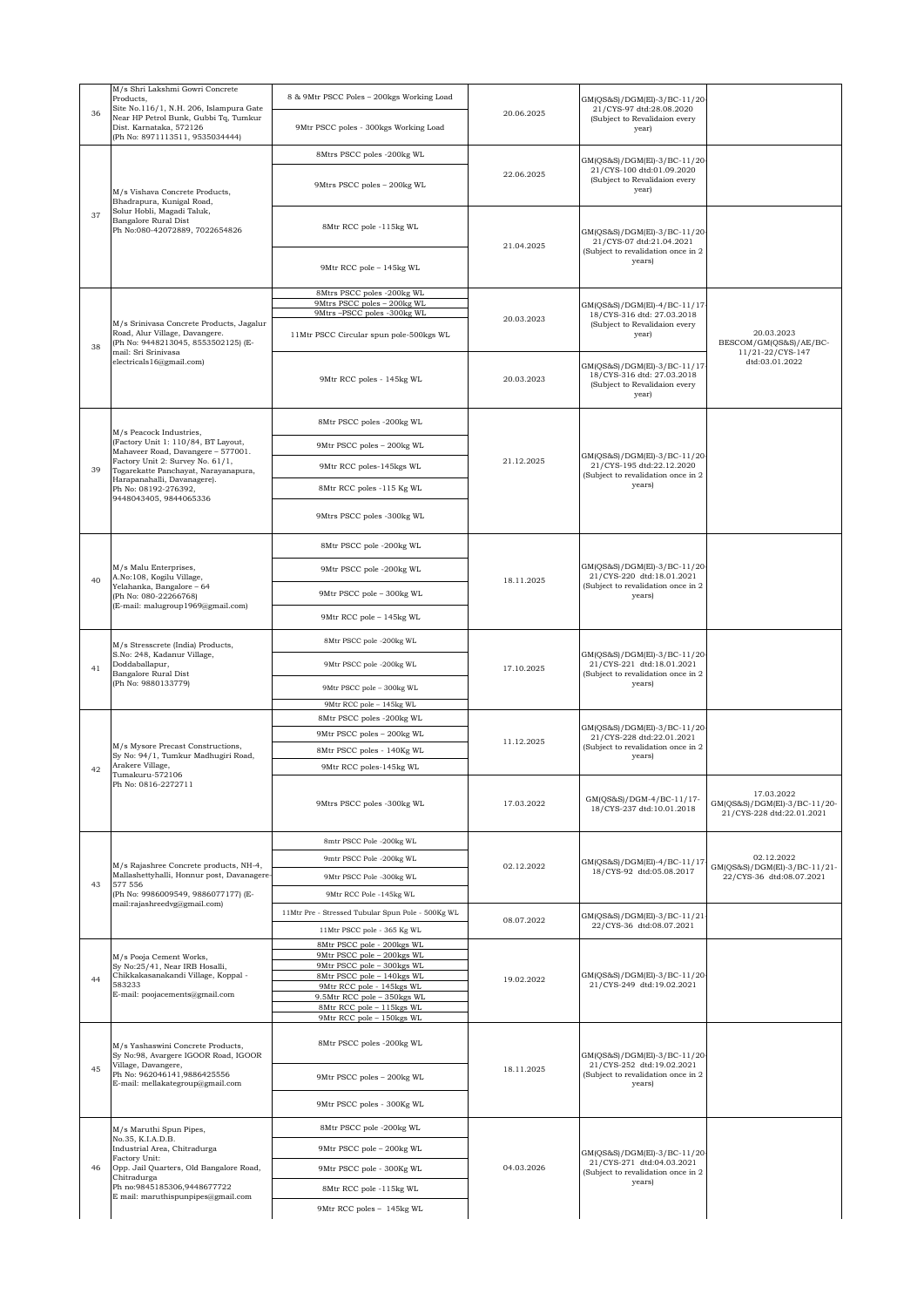| Products, | M/s Shri Lakshmi Gowri Concrete<br>Site No.116/1, N.H. 206, Islampura Gate                                                                                           | 8 & 9Mtr PSCC Poles - 200kgs Working Load                                                                                                                                        |            | GM(QS&S)/DGM(El)-3/BC-11/20-<br>21/CYS-97 dtd:28.08.2020                                                  |                                                                         |
|-----------|----------------------------------------------------------------------------------------------------------------------------------------------------------------------|----------------------------------------------------------------------------------------------------------------------------------------------------------------------------------|------------|-----------------------------------------------------------------------------------------------------------|-------------------------------------------------------------------------|
| 36        | Near HP Petrol Bunk, Gubbi Tq, Tumkur<br>Dist. Karnataka, 572126<br>(Ph No: 8971113511, 9535034444)                                                                  | 9Mtr PSCC poles - 300kgs Working Load                                                                                                                                            | 20.06.2025 | (Subject to Revalidaion every<br>year)                                                                    |                                                                         |
| 37        | M/s Vishava Concrete Products,<br>Bhadrapura, Kunigal Road,<br>Solur Hobli, Magadi Taluk,<br>Bangalore Rural Dist<br>Ph No:080-42072889, 7022654826                  | 8Mtrs PSCC poles -200kg WL                                                                                                                                                       |            | GM(QS&S)/DGM(El)-3/BC-11/20-                                                                              |                                                                         |
|           |                                                                                                                                                                      | 9Mtrs PSCC poles - 200kg WL                                                                                                                                                      | 22.06.2025 | 21/CYS-100 dtd:01.09.2020<br>(Subject to Revalidaion every<br>year)                                       |                                                                         |
|           |                                                                                                                                                                      | 8Mtr RCC pole -115kg WL                                                                                                                                                          | 21.04.2025 | GM(QS&S)/DGM(El)-3/BC-11/20-<br>21/CYS-07 dtd:21.04.2021<br>(Subject to revalidation once in 2            |                                                                         |
|           |                                                                                                                                                                      | 9Mtr RCC pole - 145kg WL                                                                                                                                                         |            | years)                                                                                                    |                                                                         |
|           | M/s Srinivasa Concrete Products, Jagalur<br>Road, Alur Village, Davangere.<br>(Ph No: 9448213045, 8553502125) (E-<br>mail: Sri Srinivasa<br>electricals16@gmail.com) | 8Mtrs PSCC poles -200kg WL<br>9Mtrs PSCC poles - 200kg WL                                                                                                                        | 20.03.2023 | GM(QS&S)/DGM(El)-4/BC-11/17<br>18/CYS-316 dtd: 27.03.2018<br>(Subject to Revalidaion every<br>year)       |                                                                         |
|           |                                                                                                                                                                      | 9Mtrs-PSCC poles -300kg WL                                                                                                                                                       |            |                                                                                                           |                                                                         |
| 38        |                                                                                                                                                                      | 11Mtr PSCC Circular spun pole-500kgs WL                                                                                                                                          |            |                                                                                                           | 20.03.2023<br>BESCOM/GM(QS&S)/AE/BC-                                    |
|           |                                                                                                                                                                      | 9Mtr RCC poles - 145kg WL                                                                                                                                                        | 20.03.2023 | GM(QS&S)/DGM(El)-3/BC-11/17<br>18/CYS-316 dtd: 27.03.2018<br>(Subject to Revalidaion every<br>year)       | 11/21-22/CYS-147<br>dtd:03.01.2022                                      |
|           |                                                                                                                                                                      | 8Mtr PSCC poles -200kg WL                                                                                                                                                        |            |                                                                                                           |                                                                         |
|           | M/s Peacock Industries,<br>(Factory Unit 1: 110/84, BT Layout,                                                                                                       | 9Mtr PSCC poles - 200kg WL                                                                                                                                                       |            |                                                                                                           |                                                                         |
| 39        | Mahaveer Road, Davangere - 577001.<br>Factory Unit 2: Survey No. 61/1,<br>Togarekatte Panchayat, Narayanapura,                                                       | 9Mtr RCC poles-145kgs WL                                                                                                                                                         | 21.12.2025 | GM(QS&S)/DGM(El)-3/BC-11/20-<br>21/CYS-195 dtd:22.12.2020                                                 |                                                                         |
|           | Harapanahalli, Davanagere).<br>Ph No: 08192-276392,                                                                                                                  | 8Mtr RCC poles -115 Kg WL                                                                                                                                                        |            | (Subject to revalidation once in 2<br>years)                                                              |                                                                         |
|           | 9448043405, 9844065336                                                                                                                                               | 9Mtrs PSCC poles -300kg WL                                                                                                                                                       |            |                                                                                                           |                                                                         |
|           |                                                                                                                                                                      | 8Mtr PSCC pole -200kg WL                                                                                                                                                         |            |                                                                                                           |                                                                         |
|           | M/s Malu Enterprises,                                                                                                                                                | 9Mtr PSCC pole -200kg WL                                                                                                                                                         |            | GM(QS&S)/DGM(El)-3/BC-11/20-                                                                              |                                                                         |
| 40        | A.No:108, Kogilu Village,<br>Yelahanka, Bangalore - 64                                                                                                               | 9Mtr PSCC pole - 300kg WL                                                                                                                                                        | 18.11.2025 | 21/CYS-220 dtd:18.01.2021<br>(Subject to revalidation once in 2<br>years)                                 |                                                                         |
|           | (Ph No: 080-22266768)<br>(E-mail: malugroup1969@gmail.com)                                                                                                           |                                                                                                                                                                                  |            |                                                                                                           |                                                                         |
|           |                                                                                                                                                                      | 9Mtr RCC pole - 145kg WL                                                                                                                                                         |            |                                                                                                           |                                                                         |
|           | M/s Stresscrete (India) Products,<br>S.No: 248, Kadanur Village,                                                                                                     | 8Mtr PSCC pole -200kg WL                                                                                                                                                         | 17.10.2025 | GM(QS&S)/DGM(El)-3/BC-11/20-<br>21/CYS-221 dtd:18.01.2021<br>(Subject to revalidation once in 2<br>years) |                                                                         |
| 41        | Doddaballapur,<br>Bangalore Rural Dist<br>(Ph No: 9880133779)                                                                                                        | 9Mtr PSCC pole -200kg WL                                                                                                                                                         |            |                                                                                                           |                                                                         |
|           |                                                                                                                                                                      | 9Mtr PSCC pole - 300kg WL                                                                                                                                                        |            |                                                                                                           |                                                                         |
|           |                                                                                                                                                                      | 9Mtr RCC pole - 145kg WL<br>8Mtr PSCC poles -200kg WL                                                                                                                            | 11.12.2025 | GM(QS&S)/DGM(El)-3/BC-11/20-<br>21/CYS-228 dtd:22.01.2021<br>(Subject to revalidation once in 2<br>years) |                                                                         |
|           |                                                                                                                                                                      | 9Mtr PSCC poles - 200kg WL                                                                                                                                                       |            |                                                                                                           |                                                                         |
|           | M/s Mysore Precast Constructions,<br>Sy No: 94/1, Tumkur Madhugiri Road,                                                                                             | 8Mtr PSCC poles - 140Kg WL                                                                                                                                                       |            |                                                                                                           |                                                                         |
| 42        | Arakere Village,<br>Tumakuru-572106                                                                                                                                  | 9Mtr RCC poles-145kg WL                                                                                                                                                          |            |                                                                                                           |                                                                         |
|           | Ph No: 0816-2272711                                                                                                                                                  | 9Mtrs PSCC poles -300kg WL                                                                                                                                                       | 17.03.2022 | GM(QS&S)/DGM-4/BC-11/17-<br>18/CYS-237 dtd:10.01.2018                                                     | 17.03.2022<br>GM(QS&S)/DGM(El)-3/BC-11/20-<br>21/CYS-228 dtd:22.01.2021 |
|           |                                                                                                                                                                      | 8mtr PSCC Pole -200kg WL                                                                                                                                                         | 02.12.2022 | GM(QS&S)/DGM(El)-4/BC-11/17<br>18/CYS-92 dtd:05.08.2017                                                   |                                                                         |
|           | M/s Rajashree Concrete products, NH-4,                                                                                                                               | 9mtr PSCC Pole -200kg WL                                                                                                                                                         |            |                                                                                                           | 02.12.2022<br>GM(QS&S)/DGM(El)-3/BC-11/21-                              |
| 43        | Mallashettyhalli, Honnur post, Davanagere-<br>577 556<br>(Ph No: 9986009549, 9886077177) (E-<br>mail:rajashreedvg@gmail.com)                                         | 9Mtr PSCC Pole -300kg WL                                                                                                                                                         |            |                                                                                                           | 22/CYS-36 dtd:08.07.2021                                                |
|           |                                                                                                                                                                      | 9Mtr RCC Pole -145kg WL<br>11Mtr Pre - Stressed Tubular Spun Pole - 500Kg WL                                                                                                     |            |                                                                                                           |                                                                         |
|           |                                                                                                                                                                      | 11Mtr PSCC pole - 365 Kg WL                                                                                                                                                      | 08.07.2022 | GM(QS&S)/DGM(El)-3/BC-11/21<br>22/CYS-36 dtd:08.07.2021                                                   |                                                                         |
| 44        | M/s Pooja Cement Works,<br>Sy No:25/41, Near IRB Hosalli,<br>Chikkakasanakandi Village, Koppal -<br>583233<br>E-mail: poojacements@gmail.com                         | 8Mtr PSCC pole - 200kgs WL<br>9Mtr PSCC pole - 200kgs WL<br>9Mtr PSCC pole - 300kgs WL<br>8Mtr PSCC pole - 140kgs WL<br>9Mtr RCC pole - 145kgs WL<br>9.5Mtr RCC pole - 350kgs WL | 19.02.2022 | GM(QS&S)/DGM(El)-3/BC-11/20-<br>21/CYS-249 dtd:19.02.2021                                                 |                                                                         |
|           |                                                                                                                                                                      | 8Mtr RCC pole - 115kgs WL<br>9Mtr RCC pole - 150kgs WL                                                                                                                           |            |                                                                                                           |                                                                         |
| 45        | M/s Yashaswini Concrete Products,<br>Sy No:98, Avargere IGOOR Road, IGOOR<br>Village, Davangere,<br>Ph No: 962046141,9886425556<br>E-mail: mellakategroup@gmail.com  |                                                                                                                                                                                  | 18.11.2025 | GM(QS&S)/DGM(El)-3/BC-11/20-<br>21/CYS-252 dtd:19.02.2021<br>(Subject to revalidation once in 2<br>years) |                                                                         |
|           |                                                                                                                                                                      | 8Mtr PSCC poles -200kg WL                                                                                                                                                        |            |                                                                                                           |                                                                         |
|           |                                                                                                                                                                      | 9Mtr PSCC poles - 200kg WL                                                                                                                                                       |            |                                                                                                           |                                                                         |
|           |                                                                                                                                                                      | 9Mtr PSCC poles - 300Kg WL                                                                                                                                                       |            |                                                                                                           |                                                                         |
|           | M/s Maruthi Spun Pipes,<br>No.35, K.I.A.D.B.                                                                                                                         | 8Mtr PSCC pole -200kg WL                                                                                                                                                         |            | GM(QS&S)/DGM(El)-3/BC-11/20-<br>21/CYS-271 dtd:04.03.2021<br>(Subject to revalidation once in 2<br>years) |                                                                         |
|           | Industrial Area, Chitradurga<br>Factory Unit:                                                                                                                        | 9Mtr PSCC pole - 200kg WL                                                                                                                                                        | 04.03.2026 |                                                                                                           |                                                                         |
| 46        | Opp. Jail Quarters, Old Bangalore Road,<br>Chitradurga                                                                                                               | 9Mtr PSCC pole - 300Kg WL                                                                                                                                                        |            |                                                                                                           |                                                                         |
|           | Ph no:9845185306,9448677722<br>E mail: maruthispunpipes@gmail.com                                                                                                    | 8Mtr RCC pole -115kg WL                                                                                                                                                          |            |                                                                                                           |                                                                         |
|           |                                                                                                                                                                      | 9Mtr RCC poles - 145kg WL                                                                                                                                                        |            |                                                                                                           |                                                                         |